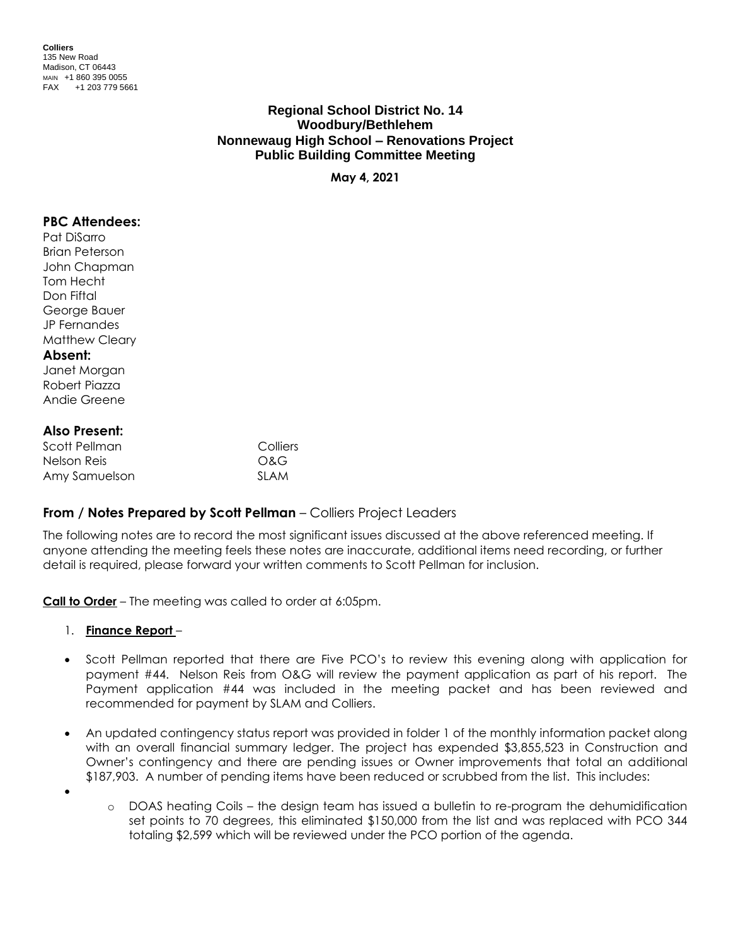**Colliers** 135 New Road Madison, CT 06443 MAIN +1 860 395 0055 FAX +1 203 779 5661

> **Regional School District No. 14 Woodbury/Bethlehem Nonnewaug High School – Renovations Project Public Building Committee Meeting**

> > **May 4, 2021**

### **PBC Attendees:**

Pat DiSarro Brian Peterson John Chapman Tom Hecht Don Fiftal George Bauer JP Fernandes Matthew Cleary

#### **Absent:**

Janet Morgan Robert Piazza Andie Greene

### **Also Present:**

| Scott Pellman | Colliers    |
|---------------|-------------|
| Nelson Reis   | O&G         |
| Amy Samuelson | <b>SLAM</b> |

## **From / Notes Prepared by Scott Pellman** – Colliers Project Leaders

The following notes are to record the most significant issues discussed at the above referenced meeting. If anyone attending the meeting feels these notes are inaccurate, additional items need recording, or further detail is required, please forward your written comments to Scott Pellman for inclusion.

**Call to Order** – The meeting was called to order at 6:05pm.

#### 1. **Finance Report** –

- Scott Pellman reported that there are Five PCO's to review this evening along with application for payment #44. Nelson Reis from O&G will review the payment application as part of his report. The Payment application #44 was included in the meeting packet and has been reviewed and recommended for payment by SLAM and Colliers.
- An updated contingency status report was provided in folder 1 of the monthly information packet along with an overall financial summary ledger. The project has expended \$3,855,523 in Construction and Owner's contingency and there are pending issues or Owner improvements that total an additional \$187,903. A number of pending items have been reduced or scrubbed from the list. This includes:
- •
- o DOAS heating Coils the design team has issued a bulletin to re-program the dehumidification set points to 70 degrees, this eliminated \$150,000 from the list and was replaced with PCO 344 totaling \$2,599 which will be reviewed under the PCO portion of the agenda.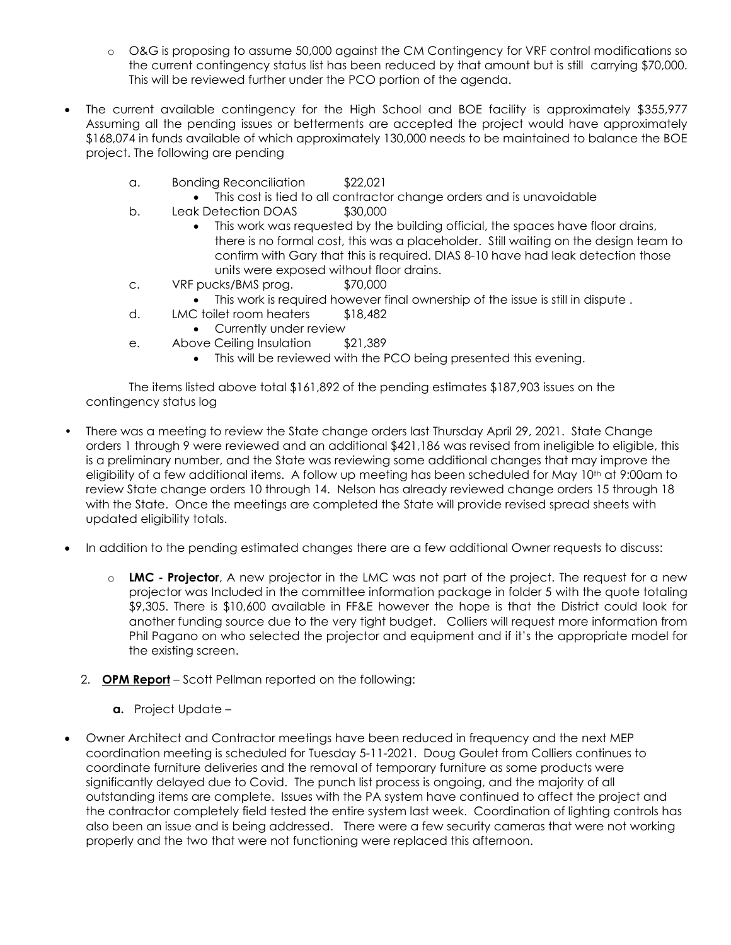- o O&G is proposing to assume 50,000 against the CM Contingency for VRF control modifications so the current contingency status list has been reduced by that amount but is still carrying \$70,000. This will be reviewed further under the PCO portion of the agenda.
- The current available contingency for the High School and BOE facility is approximately \$355,977 Assuming all the pending issues or betterments are accepted the project would have approximately \$168,074 in funds available of which approximately 130,000 needs to be maintained to balance the BOE project. The following are pending
	- a. Bonding Reconciliation \$22,021
		- This cost is tied to all contractor change orders and is unavoidable
	- b. Leak Detection DOAS \$30,000
		- This work was requested by the building official, the spaces have floor drains, there is no formal cost, this was a placeholder. Still waiting on the design team to confirm with Gary that this is required. DIAS 8-10 have had leak detection those units were exposed without floor drains.
	- c. VRF pucks/BMS prog. \$70,000
		- This work is required however final ownership of the issue is still in dispute .
	- d. LMC toilet room heaters \$18,482
		- Currently under review
	- e. Above Ceiling Insulation \$21,389
		- This will be reviewed with the PCO being presented this evening.

The items listed above total \$161,892 of the pending estimates \$187,903 issues on the contingency status log

- There was a meeting to review the State change orders last Thursday April 29, 2021. State Change orders 1 through 9 were reviewed and an additional \$421,186 was revised from ineligible to eligible, this is a preliminary number, and the State was reviewing some additional changes that may improve the eligibility of a few additional items. A follow up meeting has been scheduled for May 10<sup>th</sup> at 9:00am to review State change orders 10 through 14. Nelson has already reviewed change orders 15 through 18 with the State. Once the meetings are completed the State will provide revised spread sheets with updated eligibility totals.
- In addition to the pending estimated changes there are a few additional Owner requests to discuss:
	- o **LMC - Projector**, A new projector in the LMC was not part of the project. The request for a new projector was Included in the committee information package in folder 5 with the quote totaling \$9,305. There is \$10,600 available in FF&E however the hope is that the District could look for another funding source due to the very tight budget. Colliers will request more information from Phil Pagano on who selected the projector and equipment and if it's the appropriate model for the existing screen.
	- 2. **OPM Report** Scott Pellman reported on the following:
		- **a.** Project Update –
- Owner Architect and Contractor meetings have been reduced in frequency and the next MEP coordination meeting is scheduled for Tuesday 5-11-2021. Doug Goulet from Colliers continues to coordinate furniture deliveries and the removal of temporary furniture as some products were significantly delayed due to Covid. The punch list process is ongoing, and the majority of all outstanding items are complete. Issues with the PA system have continued to affect the project and the contractor completely field tested the entire system last week. Coordination of lighting controls has also been an issue and is being addressed. There were a few security cameras that were not working properly and the two that were not functioning were replaced this afternoon.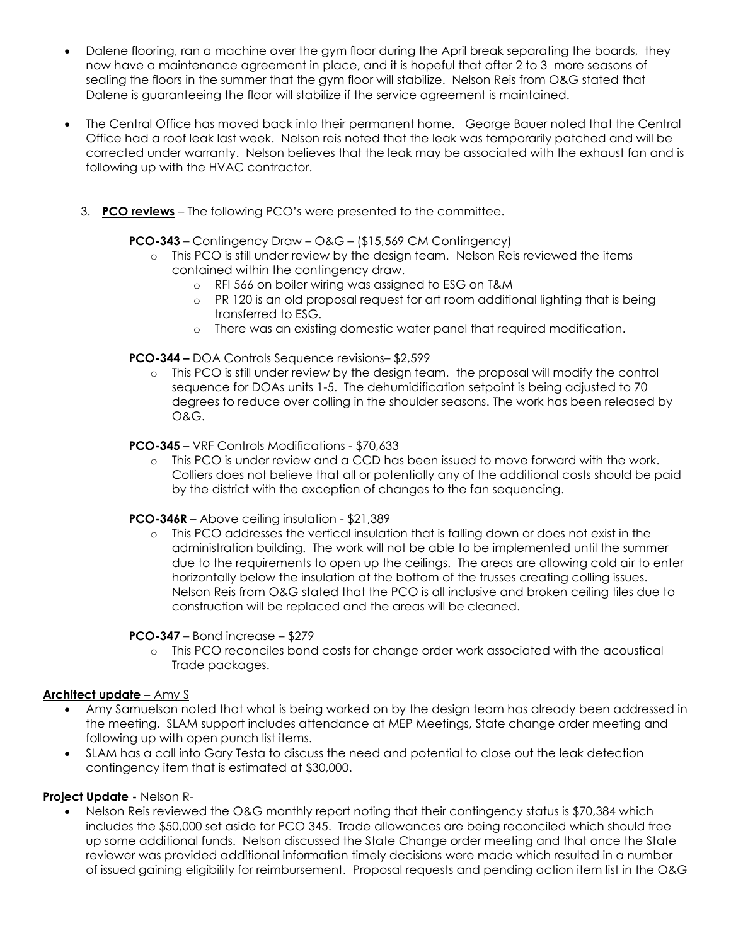- Dalene flooring, ran a machine over the gym floor during the April break separating the boards, they now have a maintenance agreement in place, and it is hopeful that after 2 to 3 more seasons of sealing the floors in the summer that the gym floor will stabilize. Nelson Reis from O&G stated that Dalene is guaranteeing the floor will stabilize if the service agreement is maintained.
- The Central Office has moved back into their permanent home. George Bauer noted that the Central Office had a roof leak last week. Nelson reis noted that the leak was temporarily patched and will be corrected under warranty. Nelson believes that the leak may be associated with the exhaust fan and is following up with the HVAC contractor.
	- 3. **PCO reviews** The following PCO's were presented to the committee.

# **PCO-343** – Contingency Draw – O&G – (\$15,569 CM Contingency)

- o This PCO is still under review by the design team. Nelson Reis reviewed the items contained within the contingency draw.
	- o RFI 566 on boiler wiring was assigned to ESG on T&M
	- o PR 120 is an old proposal request for art room additional lighting that is being transferred to ESG.
	- o There was an existing domestic water panel that required modification.

# **PCO-344 –** DOA Controls Sequence revisions– \$2,599

o This PCO is still under review by the design team. the proposal will modify the control sequence for DOAs units 1-5. The dehumidification setpoint is being adjusted to 70 degrees to reduce over colling in the shoulder seasons. The work has been released by O&G.

## **PCO-345** – VRF Controls Modifications - \$70,633

o This PCO is under review and a CCD has been issued to move forward with the work. Colliers does not believe that all or potentially any of the additional costs should be paid by the district with the exception of changes to the fan sequencing.

## **PCO-346R** – Above ceiling insulation - \$21,389

o This PCO addresses the vertical insulation that is falling down or does not exist in the administration building. The work will not be able to be implemented until the summer due to the requirements to open up the ceilings. The areas are allowing cold air to enter horizontally below the insulation at the bottom of the trusses creating colling issues. Nelson Reis from O&G stated that the PCO is all inclusive and broken ceiling tiles due to construction will be replaced and the areas will be cleaned.

## **PCO-347** – Bond increase – \$279

o This PCO reconciles bond costs for change order work associated with the acoustical Trade packages.

## **Architect update** – Amy S

- Amy Samuelson noted that what is being worked on by the design team has already been addressed in the meeting. SLAM support includes attendance at MEP Meetings, State change order meeting and following up with open punch list items.
- SLAM has a call into Gary Testa to discuss the need and potential to close out the leak detection contingency item that is estimated at \$30,000.

## **Project Update -** Nelson R-

Nelson Reis reviewed the O&G monthly report noting that their contingency status is \$70,384 which includes the \$50,000 set aside for PCO 345. Trade allowances are being reconciled which should free up some additional funds. Nelson discussed the State Change order meeting and that once the State reviewer was provided additional information timely decisions were made which resulted in a number of issued gaining eligibility for reimbursement. Proposal requests and pending action item list in the O&G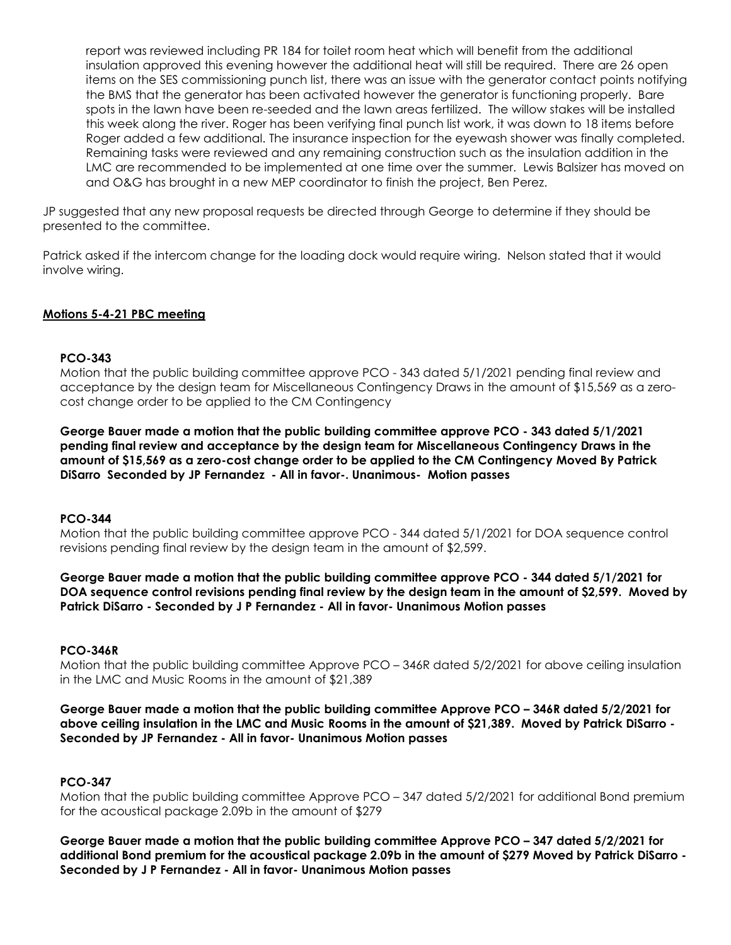report was reviewed including PR 184 for toilet room heat which will benefit from the additional insulation approved this evening however the additional heat will still be required. There are 26 open items on the SES commissioning punch list, there was an issue with the generator contact points notifying the BMS that the generator has been activated however the generator is functioning properly. Bare spots in the lawn have been re-seeded and the lawn areas fertilized. The willow stakes will be installed this week along the river. Roger has been verifying final punch list work, it was down to 18 items before Roger added a few additional. The insurance inspection for the eyewash shower was finally completed. Remaining tasks were reviewed and any remaining construction such as the insulation addition in the LMC are recommended to be implemented at one time over the summer. Lewis Balsizer has moved on and O&G has brought in a new MEP coordinator to finish the project, Ben Perez.

JP suggested that any new proposal requests be directed through George to determine if they should be presented to the committee.

Patrick asked if the intercom change for the loading dock would require wiring. Nelson stated that it would involve wiring.

# **Motions 5-4-21 PBC meeting**

### **PCO-343**

Motion that the public building committee approve PCO - 343 dated 5/1/2021 pending final review and acceptance by the design team for Miscellaneous Contingency Draws in the amount of \$15,569 as a zerocost change order to be applied to the CM Contingency

**George Bauer made a motion that the public building committee approve PCO - 343 dated 5/1/2021 pending final review and acceptance by the design team for Miscellaneous Contingency Draws in the amount of \$15,569 as a zero-cost change order to be applied to the CM Contingency Moved By Patrick DiSarro Seconded by JP Fernandez - All in favor-. Unanimous- Motion passes**

## **PCO-344**

Motion that the public building committee approve PCO - 344 dated 5/1/2021 for DOA sequence control revisions pending final review by the design team in the amount of \$2,599.

**George Bauer made a motion that the public building committee approve PCO - 344 dated 5/1/2021 for DOA sequence control revisions pending final review by the design team in the amount of \$2,599. Moved by Patrick DiSarro - Seconded by J P Fernandez - All in favor- Unanimous Motion passes**

## **PCO-346R**

Motion that the public building committee Approve PCO – 346R dated 5/2/2021 for above ceiling insulation in the LMC and Music Rooms in the amount of \$21,389

**George Bauer made a motion that the public building committee Approve PCO – 346R dated 5/2/2021 for above ceiling insulation in the LMC and Music Rooms in the amount of \$21,389. Moved by Patrick DiSarro - Seconded by JP Fernandez - All in favor- Unanimous Motion passes**

# **PCO-347**

Motion that the public building committee Approve PCO – 347 dated 5/2/2021 for additional Bond premium for the acoustical package 2.09b in the amount of \$279

**George Bauer made a motion that the public building committee Approve PCO – 347 dated 5/2/2021 for additional Bond premium for the acoustical package 2.09b in the amount of \$279 Moved by Patrick DiSarro - Seconded by J P Fernandez - All in favor- Unanimous Motion passes**